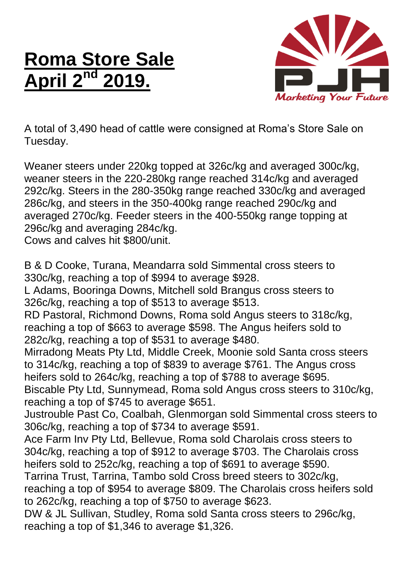## **Roma Store Sale April 2 nd 2019.**



A total of 3,490 head of cattle were consigned at Roma's Store Sale on Tuesday.

Weaner steers under 220kg topped at 326c/kg and averaged 300c/kg, weaner steers in the 220-280kg range reached 314c/kg and averaged 292c/kg. Steers in the 280-350kg range reached 330c/kg and averaged 286c/kg, and steers in the 350-400kg range reached 290c/kg and averaged 270c/kg. Feeder steers in the 400-550kg range topping at 296c/kg and averaging 284c/kg.

Cows and calves hit \$800/unit.

B & D Cooke, Turana, Meandarra sold Simmental cross steers to 330c/kg, reaching a top of \$994 to average \$928.

L Adams, Booringa Downs, Mitchell sold Brangus cross steers to 326c/kg, reaching a top of \$513 to average \$513.

RD Pastoral, Richmond Downs, Roma sold Angus steers to 318c/kg, reaching a top of \$663 to average \$598. The Angus heifers sold to 282c/kg, reaching a top of \$531 to average \$480.

Mirradong Meats Pty Ltd, Middle Creek, Moonie sold Santa cross steers to 314c/kg, reaching a top of \$839 to average \$761. The Angus cross heifers sold to 264c/kg, reaching a top of \$788 to average \$695. Biscable Pty Ltd, Sunnymead, Roma sold Angus cross steers to 310c/kg,

reaching a top of \$745 to average \$651. Justrouble Past Co, Coalbah, Glenmorgan sold Simmental cross steers to 306c/kg, reaching a top of \$734 to average \$591.

Ace Farm Inv Pty Ltd, Bellevue, Roma sold Charolais cross steers to 304c/kg, reaching a top of \$912 to average \$703. The Charolais cross heifers sold to 252c/kg, reaching a top of \$691 to average \$590.

Tarrina Trust, Tarrina, Tambo sold Cross breed steers to 302c/kg, reaching a top of \$954 to average \$809. The Charolais cross heifers sold to 262c/kg, reaching a top of \$750 to average \$623.

DW & JL Sullivan, Studley, Roma sold Santa cross steers to 296c/kg, reaching a top of \$1,346 to average \$1,326.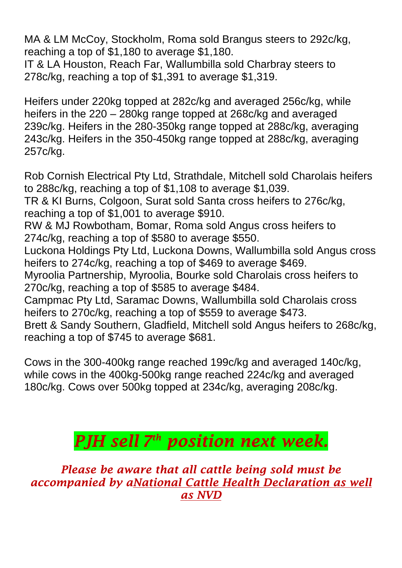MA & LM McCoy, Stockholm, Roma sold Brangus steers to 292c/kg, reaching a top of \$1,180 to average \$1,180.

IT & LA Houston, Reach Far, Wallumbilla sold Charbray steers to 278c/kg, reaching a top of \$1,391 to average \$1,319.

Heifers under 220kg topped at 282c/kg and averaged 256c/kg, while heifers in the 220 – 280kg range topped at 268c/kg and averaged 239c/kg. Heifers in the 280-350kg range topped at 288c/kg, averaging 243c/kg. Heifers in the 350-450kg range topped at 288c/kg, averaging 257c/kg.

Rob Cornish Electrical Pty Ltd, Strathdale, Mitchell sold Charolais heifers to 288c/kg, reaching a top of \$1,108 to average \$1,039.

TR & KI Burns, Colgoon, Surat sold Santa cross heifers to 276c/kg, reaching a top of \$1,001 to average \$910.

RW & MJ Rowbotham, Bomar, Roma sold Angus cross heifers to 274c/kg, reaching a top of \$580 to average \$550.

Luckona Holdings Pty Ltd, Luckona Downs, Wallumbilla sold Angus cross heifers to 274c/kg, reaching a top of \$469 to average \$469.

Myroolia Partnership, Myroolia, Bourke sold Charolais cross heifers to 270c/kg, reaching a top of \$585 to average \$484.

Campmac Pty Ltd, Saramac Downs, Wallumbilla sold Charolais cross heifers to 270c/kg, reaching a top of \$559 to average \$473.

Brett & Sandy Southern, Gladfield, Mitchell sold Angus heifers to 268c/kg, reaching a top of \$745 to average \$681.

Cows in the 300-400kg range reached 199c/kg and averaged 140c/kg, while cows in the 400kg-500kg range reached 224c/kg and averaged 180c/kg. Cows over 500kg topped at 234c/kg, averaging 208c/kg.

## *PJH sell 7 th position next week.*

*Please be aware that all cattle being sold must be accompanied by aNational Cattle Health Declaration as well as NVD*